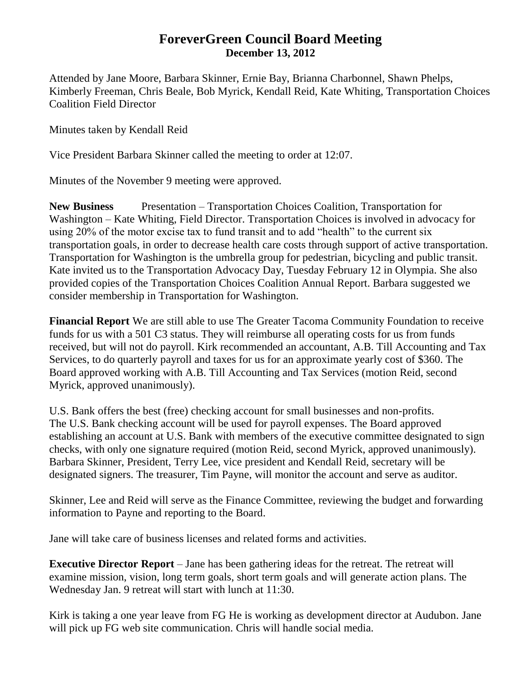## **ForeverGreen Council Board Meeting December 13, 2012**

Attended by Jane Moore, Barbara Skinner, Ernie Bay, Brianna Charbonnel, Shawn Phelps, Kimberly Freeman, Chris Beale, Bob Myrick, Kendall Reid, Kate Whiting, Transportation Choices Coalition Field Director

Minutes taken by Kendall Reid

Vice President Barbara Skinner called the meeting to order at 12:07.

Minutes of the November 9 meeting were approved.

**New Business** Presentation – Transportation Choices Coalition, Transportation for Washington – Kate Whiting, Field Director. Transportation Choices is involved in advocacy for using 20% of the motor excise tax to fund transit and to add "health" to the current six transportation goals, in order to decrease health care costs through support of active transportation. Transportation for Washington is the umbrella group for pedestrian, bicycling and public transit. Kate invited us to the Transportation Advocacy Day, Tuesday February 12 in Olympia. She also provided copies of the Transportation Choices Coalition Annual Report. Barbara suggested we consider membership in Transportation for Washington.

**Financial Report** We are still able to use The Greater Tacoma Community Foundation to receive funds for us with a 501 C3 status. They will reimburse all operating costs for us from funds received, but will not do payroll. Kirk recommended an accountant, A.B. Till Accounting and Tax Services, to do quarterly payroll and taxes for us for an approximate yearly cost of \$360. The Board approved working with A.B. Till Accounting and Tax Services (motion Reid, second Myrick, approved unanimously).

U.S. Bank offers the best (free) checking account for small businesses and non-profits. The U.S. Bank checking account will be used for payroll expenses. The Board approved establishing an account at U.S. Bank with members of the executive committee designated to sign checks, with only one signature required (motion Reid, second Myrick, approved unanimously). Barbara Skinner, President, Terry Lee, vice president and Kendall Reid, secretary will be designated signers. The treasurer, Tim Payne, will monitor the account and serve as auditor.

Skinner, Lee and Reid will serve as the Finance Committee, reviewing the budget and forwarding information to Payne and reporting to the Board.

Jane will take care of business licenses and related forms and activities.

**Executive Director Report** – Jane has been gathering ideas for the retreat. The retreat will examine mission, vision, long term goals, short term goals and will generate action plans. The Wednesday Jan. 9 retreat will start with lunch at 11:30.

Kirk is taking a one year leave from FG He is working as development director at Audubon. Jane will pick up FG web site communication. Chris will handle social media.